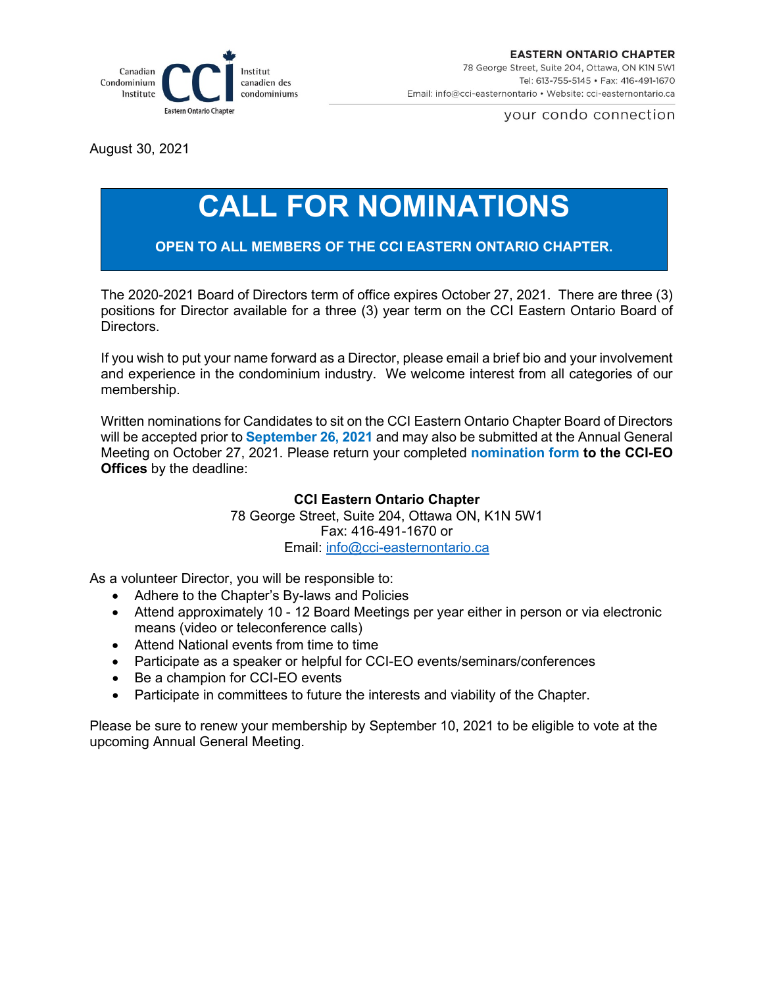

your condo connection

August 30, 2021

## **CALL FOR NOMINATIONS**

**OPEN TO ALL MEMBERS OF THE CCI EASTERN ONTARIO CHAPTER.**

The 2020-2021 Board of Directors term of office expires October 27, 2021. There are three (3) positions for Director available for a three (3) year term on the CCI Eastern Ontario Board of Directors.

If you wish to put your name forward as a Director, please email a brief bio and your involvement and experience in the condominium industry. We welcome interest from all categories of our membership.

Written nominations for Candidates to sit on the CCI Eastern Ontario Chapter Board of Directors will be accepted prior to **September 26, 2021** and may also be submitted at the Annual General Meeting on October 27, 2021. Please return your completed **nomination form to the CCI-EO Offices** by the deadline:

## **CCI Eastern Ontario Chapter**

78 George Street, Suite 204, Ottawa ON, K1N 5W1 Fax: 416-491-1670 or Email: [info@cci-easternontario.ca](mailto:info@cci-easternontario.ca)

As a volunteer Director, you will be responsible to:

- Adhere to the Chapter's By-laws and Policies
- Attend approximately 10 12 Board Meetings per year either in person or via electronic means (video or teleconference calls)
- Attend National events from time to time
- Participate as a speaker or helpful for CCI-EO events/seminars/conferences
- Be a champion for CCI-EO events
- Participate in committees to future the interests and viability of the Chapter.

Please be sure to renew your membership by September 10, 2021 to be eligible to vote at the upcoming Annual General Meeting.